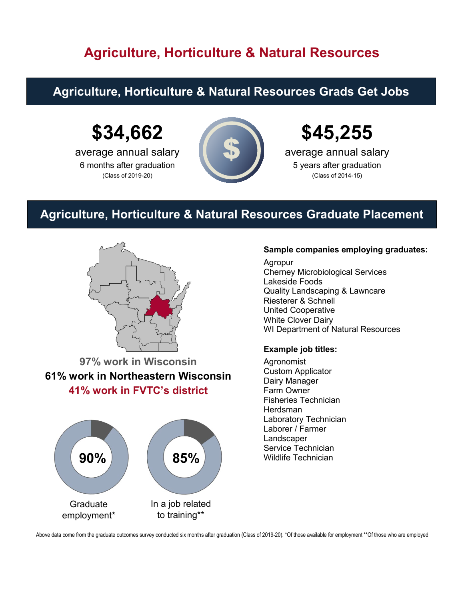## **Agriculture, Horticulture & Natural Resources**

#### **Agriculture, Horticulture & Natural Resources Grads Get Jobs**

# **\$34,662**

average annual salary 6 months after graduation (Class of 2019-20)



# **\$45,255**

average annual salary 5 years after graduation (Class of 2014-15)

### **Agriculture, Horticulture & Natural Resources Graduate Placement**



**97% work in Wisconsin 61% work in Northeastern Wisconsin 41% work in FVTC's district**



#### **Sample companies employing graduates:**

 Cherney Microbiological Services Agropur Lakeside Foods Quality Landscaping & Lawncare Riesterer & Schnell United Cooperative White Clover Dairy WI Department of Natural Resources

#### **Example job titles:**

Agronomist Custom Applicator Dairy Manager Farm Owner Fisheries Technician **Herdsman** Laboratory Technician Laborer / Farmer Landscaper Service Technician

Above data come from the graduate outcomes survey conducted six months after graduation (Class of 2019-20). \*Of those available for employment \*\*Of those who are employed